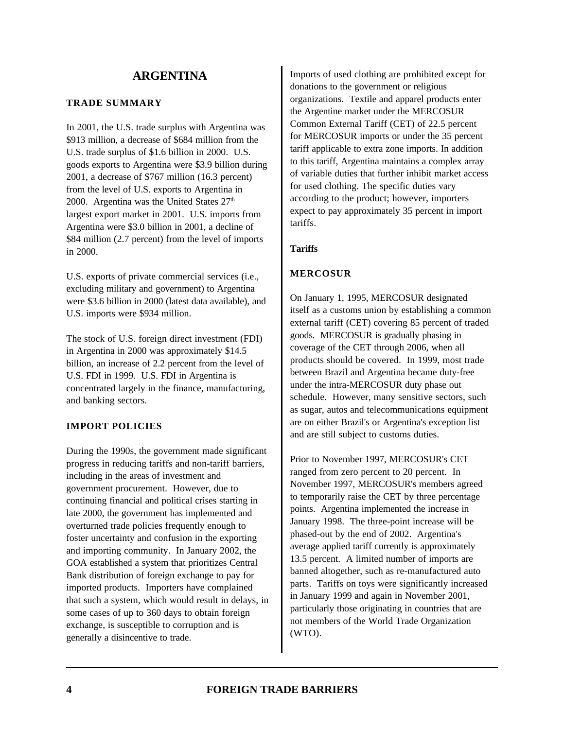### **TRADE SUMMARY**

In 2001, the U.S. trade surplus with Argentina was \$913 million, a decrease of \$684 million from the U.S. trade surplus of \$1.6 billion in 2000. U.S. goods exports to Argentina were \$3.9 billion during 2001, a decrease of \$767 million (16.3 percent) from the level of U.S. exports to Argentina in 2000. Argentina was the United States  $27<sup>th</sup>$ largest export market in 2001. U.S. imports from Argentina were \$3.0 billion in 2001, a decline of \$84 million (2.7 percent) from the level of imports in 2000.

U.S. exports of private commercial services (i.e., excluding military and government) to Argentina were \$3.6 billion in 2000 (latest data available), and U.S. imports were \$934 million.

The stock of U.S. foreign direct investment (FDI) in Argentina in 2000 was approximately \$14.5 billion, an increase of 2.2 percent from the level of U.S. FDI in 1999. U.S. FDI in Argentina is concentrated largely in the finance, manufacturing, and banking sectors.

### **IMPORT POLICIES**

During the 1990s, the government made significant progress in reducing tariffs and non-tariff barriers, including in the areas of investment and government procurement. However, due to continuing financial and political crises starting in late 2000, the government has implemented and overturned trade policies frequently enough to foster uncertainty and confusion in the exporting and importing community. In January 2002, the GOA established a system that prioritizes Central Bank distribution of foreign exchange to pay for imported products. Importers have complained that such a system, which would result in delays, in some cases of up to 360 days to obtain foreign exchange, is susceptible to corruption and is generally a disincentive to trade.

Imports of used clothing are prohibited except for donations to the government or religious organizations. Textile and apparel products enter the Argentine market under the MERCOSUR Common External Tariff (CET) of 22.5 percent for MERCOSUR imports or under the 35 percent tariff applicable to extra zone imports. In addition to this tariff, Argentina maintains a complex array of variable duties that further inhibit market access for used clothing. The specific duties vary according to the product; however, importers expect to pay approximately 35 percent in import tariffs.

# **Tariffs**

### **MERCOSUR**

On January 1, 1995, MERCOSUR designated itself as a customs union by establishing a common external tariff (CET) covering 85 percent of traded goods. MERCOSUR is gradually phasing in coverage of the CET through 2006, when all products should be covered. In 1999, most trade between Brazil and Argentina became duty-free under the intra-MERCOSUR duty phase out schedule. However, many sensitive sectors, such as sugar, autos and telecommunications equipment are on either Brazil's or Argentina's exception list and are still subject to customs duties.

Prior to November 1997, MERCOSUR's CET ranged from zero percent to 20 percent. In November 1997, MERCOSUR's members agreed to temporarily raise the CET by three percentage points. Argentina implemented the increase in January 1998. The three-point increase will be phased-out by the end of 2002. Argentina's average applied tariff currently is approximately 13.5 percent. A limited number of imports are banned altogether, such as re-manufactured auto parts. Tariffs on toys were significantly increased in January 1999 and again in November 2001, particularly those originating in countries that are not members of the World Trade Organization (WTO).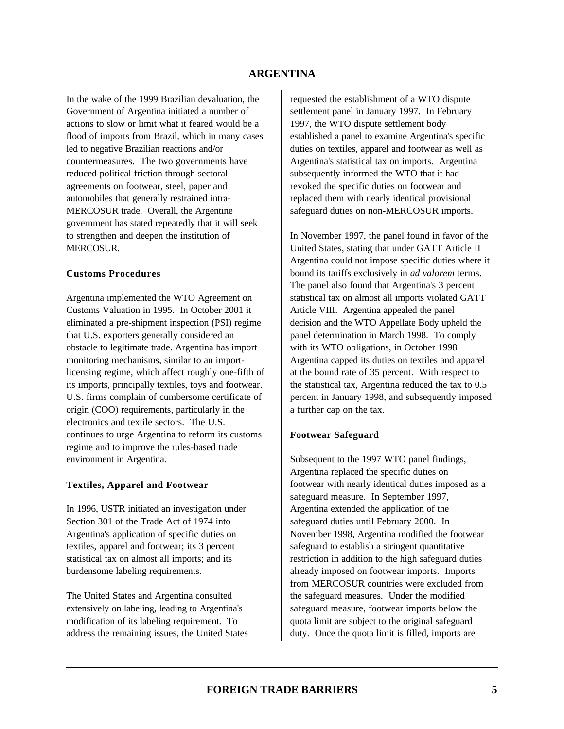In the wake of the 1999 Brazilian devaluation, the Government of Argentina initiated a number of actions to slow or limit what it feared would be a flood of imports from Brazil, which in many cases led to negative Brazilian reactions and/or countermeasures. The two governments have reduced political friction through sectoral agreements on footwear, steel, paper and automobiles that generally restrained intra-MERCOSUR trade. Overall, the Argentine government has stated repeatedly that it will seek to strengthen and deepen the institution of MERCOSUR.

#### **Customs Procedures**

Argentina implemented the WTO Agreement on Customs Valuation in 1995. In October 2001 it eliminated a pre-shipment inspection (PSI) regime that U.S. exporters generally considered an obstacle to legitimate trade. Argentina has import monitoring mechanisms, similar to an importlicensing regime, which affect roughly one-fifth of its imports, principally textiles, toys and footwear. U.S. firms complain of cumbersome certificate of origin (COO) requirements, particularly in the electronics and textile sectors. The U.S. continues to urge Argentina to reform its customs regime and to improve the rules-based trade environment in Argentina.

#### **Textiles, Apparel and Footwear**

In 1996, USTR initiated an investigation under Section 301 of the Trade Act of 1974 into Argentina's application of specific duties on textiles, apparel and footwear; its 3 percent statistical tax on almost all imports; and its burdensome labeling requirements.

The United States and Argentina consulted extensively on labeling, leading to Argentina's modification of its labeling requirement. To address the remaining issues, the United States requested the establishment of a WTO dispute settlement panel in January 1997. In February 1997, the WTO dispute settlement body established a panel to examine Argentina's specific duties on textiles, apparel and footwear as well as Argentina's statistical tax on imports. Argentina subsequently informed the WTO that it had revoked the specific duties on footwear and replaced them with nearly identical provisional safeguard duties on non-MERCOSUR imports.

In November 1997, the panel found in favor of the United States, stating that under GATT Article II Argentina could not impose specific duties where it bound its tariffs exclusively in *ad valorem* terms. The panel also found that Argentina's 3 percent statistical tax on almost all imports violated GATT Article VIII. Argentina appealed the panel decision and the WTO Appellate Body upheld the panel determination in March 1998. To comply with its WTO obligations, in October 1998 Argentina capped its duties on textiles and apparel at the bound rate of 35 percent. With respect to the statistical tax, Argentina reduced the tax to 0.5 percent in January 1998, and subsequently imposed a further cap on the tax.

### **Footwear Safeguard**

Subsequent to the 1997 WTO panel findings, Argentina replaced the specific duties on footwear with nearly identical duties imposed as a safeguard measure. In September 1997, Argentina extended the application of the safeguard duties until February 2000. In November 1998, Argentina modified the footwear safeguard to establish a stringent quantitative restriction in addition to the high safeguard duties already imposed on footwear imports. Imports from MERCOSUR countries were excluded from the safeguard measures. Under the modified safeguard measure, footwear imports below the quota limit are subject to the original safeguard duty. Once the quota limit is filled, imports are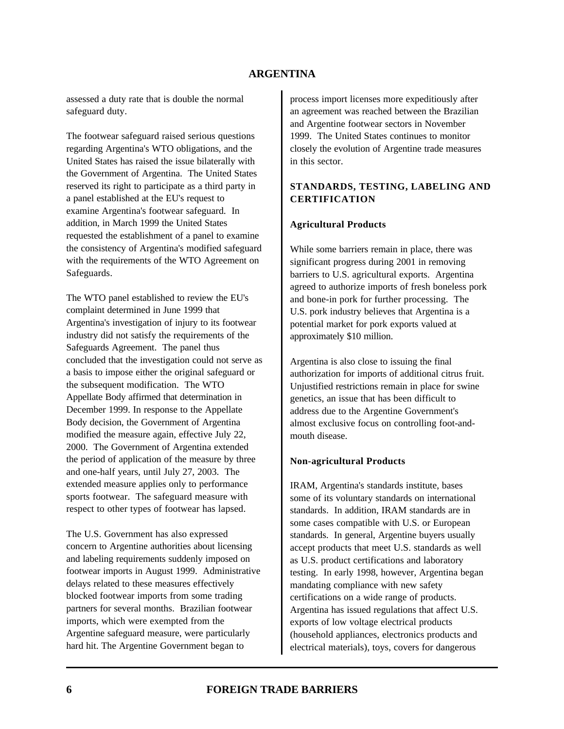assessed a duty rate that is double the normal safeguard duty.

The footwear safeguard raised serious questions regarding Argentina's WTO obligations, and the United States has raised the issue bilaterally with the Government of Argentina. The United States reserved its right to participate as a third party in a panel established at the EU's request to examine Argentina's footwear safeguard. In addition, in March 1999 the United States requested the establishment of a panel to examine the consistency of Argentina's modified safeguard with the requirements of the WTO Agreement on Safeguards.

The WTO panel established to review the EU's complaint determined in June 1999 that Argentina's investigation of injury to its footwear industry did not satisfy the requirements of the Safeguards Agreement. The panel thus concluded that the investigation could not serve as a basis to impose either the original safeguard or the subsequent modification. The WTO Appellate Body affirmed that determination in December 1999. In response to the Appellate Body decision, the Government of Argentina modified the measure again, effective July 22, 2000. The Government of Argentina extended the period of application of the measure by three and one-half years, until July 27, 2003. The extended measure applies only to performance sports footwear. The safeguard measure with respect to other types of footwear has lapsed.

The U.S. Government has also expressed concern to Argentine authorities about licensing and labeling requirements suddenly imposed on footwear imports in August 1999. Administrative delays related to these measures effectively blocked footwear imports from some trading partners for several months. Brazilian footwear imports, which were exempted from the Argentine safeguard measure, were particularly hard hit. The Argentine Government began to

process import licenses more expeditiously after an agreement was reached between the Brazilian and Argentine footwear sectors in November 1999. The United States continues to monitor closely the evolution of Argentine trade measures in this sector.

### **STANDARDS, TESTING, LABELING AND CERTIFICATION**

#### **Agricultural Products**

While some barriers remain in place, there was significant progress during 2001 in removing barriers to U.S. agricultural exports. Argentina agreed to authorize imports of fresh boneless pork and bone-in pork for further processing. The U.S. pork industry believes that Argentina is a potential market for pork exports valued at approximately \$10 million.

Argentina is also close to issuing the final authorization for imports of additional citrus fruit. Unjustified restrictions remain in place for swine genetics, an issue that has been difficult to address due to the Argentine Government's almost exclusive focus on controlling foot-andmouth disease.

### **Non-agricultural Products**

IRAM, Argentina's standards institute, bases some of its voluntary standards on international standards. In addition, IRAM standards are in some cases compatible with U.S. or European standards. In general, Argentine buyers usually accept products that meet U.S. standards as well as U.S. product certifications and laboratory testing. In early 1998, however, Argentina began mandating compliance with new safety certifications on a wide range of products. Argentina has issued regulations that affect U.S. exports of low voltage electrical products (household appliances, electronics products and electrical materials), toys, covers for dangerous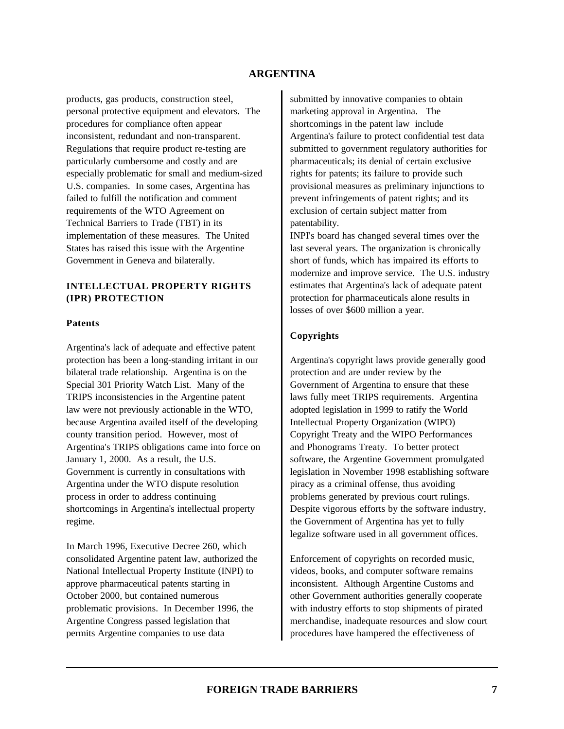products, gas products, construction steel, personal protective equipment and elevators. The procedures for compliance often appear inconsistent, redundant and non-transparent. Regulations that require product re-testing are particularly cumbersome and costly and are especially problematic for small and medium-sized U.S. companies. In some cases, Argentina has failed to fulfill the notification and comment requirements of the WTO Agreement on Technical Barriers to Trade (TBT) in its implementation of these measures. The United States has raised this issue with the Argentine Government in Geneva and bilaterally.

# **INTELLECTUAL PROPERTY RIGHTS (IPR) PROTECTION**

#### **Patents**

Argentina's lack of adequate and effective patent protection has been a long-standing irritant in our bilateral trade relationship. Argentina is on the Special 301 Priority Watch List. Many of the TRIPS inconsistencies in the Argentine patent law were not previously actionable in the WTO, because Argentina availed itself of the developing county transition period. However, most of Argentina's TRIPS obligations came into force on January 1, 2000. As a result, the U.S. Government is currently in consultations with Argentina under the WTO dispute resolution process in order to address continuing shortcomings in Argentina's intellectual property regime.

In March 1996, Executive Decree 260, which consolidated Argentine patent law, authorized the National Intellectual Property Institute (INPI) to approve pharmaceutical patents starting in October 2000, but contained numerous problematic provisions. In December 1996, the Argentine Congress passed legislation that permits Argentine companies to use data

submitted by innovative companies to obtain marketing approval in Argentina. The shortcomings in the patent law include Argentina's failure to protect confidential test data submitted to government regulatory authorities for pharmaceuticals; its denial of certain exclusive rights for patents; its failure to provide such provisional measures as preliminary injunctions to prevent infringements of patent rights; and its exclusion of certain subject matter from patentability.

INPI's board has changed several times over the last several years. The organization is chronically short of funds, which has impaired its efforts to modernize and improve service. The U.S. industry estimates that Argentina's lack of adequate patent protection for pharmaceuticals alone results in losses of over \$600 million a year.

#### **Copyrights**

Argentina's copyright laws provide generally good protection and are under review by the Government of Argentina to ensure that these laws fully meet TRIPS requirements. Argentina adopted legislation in 1999 to ratify the World Intellectual Property Organization (WIPO) Copyright Treaty and the WIPO Performances and Phonograms Treaty. To better protect software, the Argentine Government promulgated legislation in November 1998 establishing software piracy as a criminal offense, thus avoiding problems generated by previous court rulings. Despite vigorous efforts by the software industry, the Government of Argentina has yet to fully legalize software used in all government offices.

Enforcement of copyrights on recorded music, videos, books, and computer software remains inconsistent. Although Argentine Customs and other Government authorities generally cooperate with industry efforts to stop shipments of pirated merchandise, inadequate resources and slow court procedures have hampered the effectiveness of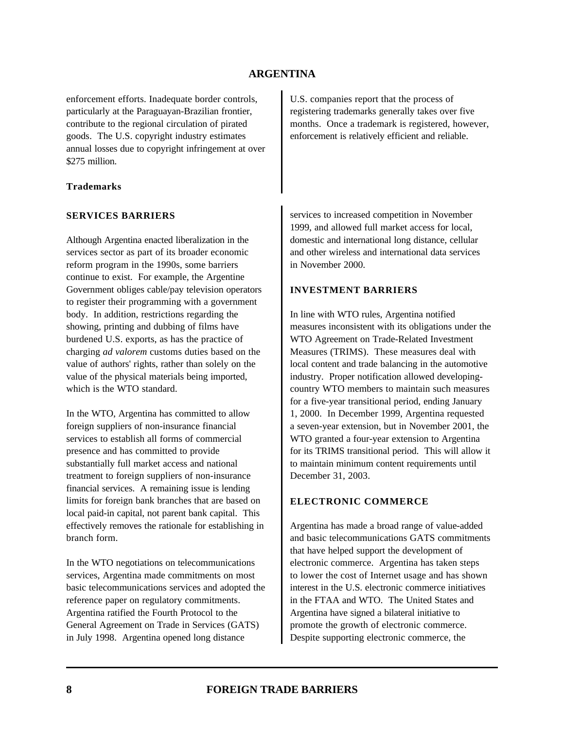enforcement efforts. Inadequate border controls, particularly at the Paraguayan-Brazilian frontier, contribute to the regional circulation of pirated goods. The U.S. copyright industry estimates annual losses due to copyright infringement at over \$275 million.

#### **Trademarks**

#### **SERVICES BARRIERS**

Although Argentina enacted liberalization in the services sector as part of its broader economic reform program in the 1990s, some barriers continue to exist. For example, the Argentine Government obliges cable/pay television operators to register their programming with a government body. In addition, restrictions regarding the showing, printing and dubbing of films have burdened U.S. exports, as has the practice of charging *ad valorem* customs duties based on the value of authors' rights, rather than solely on the value of the physical materials being imported, which is the WTO standard.

In the WTO, Argentina has committed to allow foreign suppliers of non-insurance financial services to establish all forms of commercial presence and has committed to provide substantially full market access and national treatment to foreign suppliers of non-insurance financial services. A remaining issue is lending limits for foreign bank branches that are based on local paid-in capital, not parent bank capital. This effectively removes the rationale for establishing in branch form.

In the WTO negotiations on telecommunications services, Argentina made commitments on most basic telecommunications services and adopted the reference paper on regulatory commitments. Argentina ratified the Fourth Protocol to the General Agreement on Trade in Services (GATS) in July 1998. Argentina opened long distance

U.S. companies report that the process of registering trademarks generally takes over five months. Once a trademark is registered, however, enforcement is relatively efficient and reliable.

services to increased competition in November 1999, and allowed full market access for local, domestic and international long distance, cellular and other wireless and international data services in November 2000.

#### **INVESTMENT BARRIERS**

In line with WTO rules, Argentina notified measures inconsistent with its obligations under the WTO Agreement on Trade-Related Investment Measures (TRIMS). These measures deal with local content and trade balancing in the automotive industry. Proper notification allowed developingcountry WTO members to maintain such measures for a five-year transitional period, ending January 1, 2000. In December 1999, Argentina requested a seven-year extension, but in November 2001, the WTO granted a four-year extension to Argentina for its TRIMS transitional period. This will allow it to maintain minimum content requirements until December 31, 2003.

### **ELECTRONIC COMMERCE**

Argentina has made a broad range of value-added and basic telecommunications GATS commitments that have helped support the development of electronic commerce. Argentina has taken steps to lower the cost of Internet usage and has shown interest in the U.S. electronic commerce initiatives in the FTAA and WTO. The United States and Argentina have signed a bilateral initiative to promote the growth of electronic commerce. Despite supporting electronic commerce, the